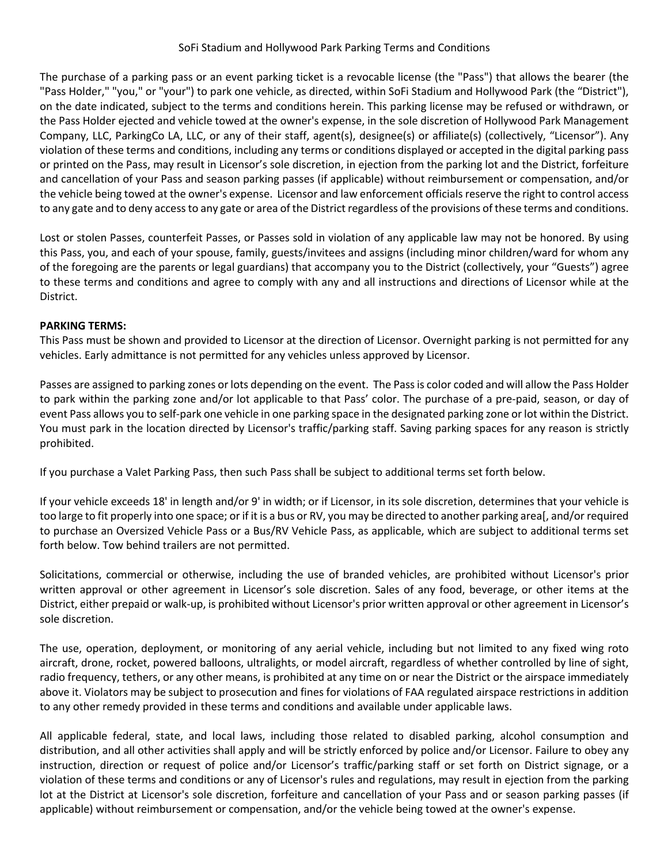## SoFi Stadium and Hollywood Park Parking Terms and Conditions

The purchase of a parking pass or an event parking ticket is a revocable license (the "Pass") that allows the bearer (the "Pass Holder," "you," or "your") to park one vehicle, as directed, within SoFi Stadium and Hollywood Park (the "District"), on the date indicated, subject to the terms and conditions herein. This parking license may be refused or withdrawn, or the Pass Holder ejected and vehicle towed at the owner's expense, in the sole discretion of Hollywood Park Management Company, LLC, ParkingCo LA, LLC, or any of their staff, agent(s), designee(s) or affiliate(s) (collectively, "Licensor"). Any violation of these terms and conditions, including any terms or conditions displayed or accepted in the digital parking pass or printed on the Pass, may result in Licensor's sole discretion, in ejection from the parking lot and the District, forfeiture and cancellation of your Pass and season parking passes (if applicable) without reimbursement or compensation, and/or the vehicle being towed at the owner's expense. Licensor and law enforcement officials reserve the right to control access to any gate and to deny access to any gate or area of the District regardless of the provisions of these terms and conditions.

Lost or stolen Passes, counterfeit Passes, or Passes sold in violation of any applicable law may not be honored. By using this Pass, you, and each of your spouse, family, guests/invitees and assigns (including minor children/ward for whom any of the foregoing are the parents or legal guardians) that accompany you to the District (collectively, your "Guests") agree to these terms and conditions and agree to comply with any and all instructions and directions of Licensor while at the District.

# **PARKING TERMS:**

This Pass must be shown and provided to Licensor at the direction of Licensor. Overnight parking is not permitted for any vehicles. Early admittance is not permitted for any vehicles unless approved by Licensor.

Passes are assigned to parking zones or lots depending on the event. The Pass is color coded and will allow the Pass Holder to park within the parking zone and/or lot applicable to that Pass' color. The purchase of a pre-paid, season, or day of event Pass allows you to self-park one vehicle in one parking space in the designated parking zone or lot within the District. You must park in the location directed by Licensor's traffic/parking staff. Saving parking spaces for any reason is strictly prohibited.

If you purchase a Valet Parking Pass, then such Pass shall be subject to additional terms set forth below.

If your vehicle exceeds 18' in length and/or 9' in width; or if Licensor, in its sole discretion, determines that your vehicle is too large to fit properly into one space; or if it is a bus or RV, you may be directed to another parking area[, and/or required to purchase an Oversized Vehicle Pass or a Bus/RV Vehicle Pass, as applicable, which are subject to additional terms set forth below. Tow behind trailers are not permitted.

Solicitations, commercial or otherwise, including the use of branded vehicles, are prohibited without Licensor's prior written approval or other agreement in Licensor's sole discretion. Sales of any food, beverage, or other items at the District, either prepaid or walk-up, is prohibited without Licensor's prior written approval or other agreement in Licensor's sole discretion.

The use, operation, deployment, or monitoring of any aerial vehicle, including but not limited to any fixed wing roto aircraft, drone, rocket, powered balloons, ultralights, or model aircraft, regardless of whether controlled by line of sight, radio frequency, tethers, or any other means, is prohibited at any time on or near the District or the airspace immediately above it. Violators may be subject to prosecution and fines for violations of FAA regulated airspace restrictions in addition to any other remedy provided in these terms and conditions and available under applicable laws.

All applicable federal, state, and local laws, including those related to disabled parking, alcohol consumption and distribution, and all other activities shall apply and will be strictly enforced by police and/or Licensor. Failure to obey any instruction, direction or request of police and/or Licensor's traffic/parking staff or set forth on District signage, or a violation of these terms and conditions or any of Licensor's rules and regulations, may result in ejection from the parking lot at the District at Licensor's sole discretion, forfeiture and cancellation of your Pass and or season parking passes (if applicable) without reimbursement or compensation, and/or the vehicle being towed at the owner's expense.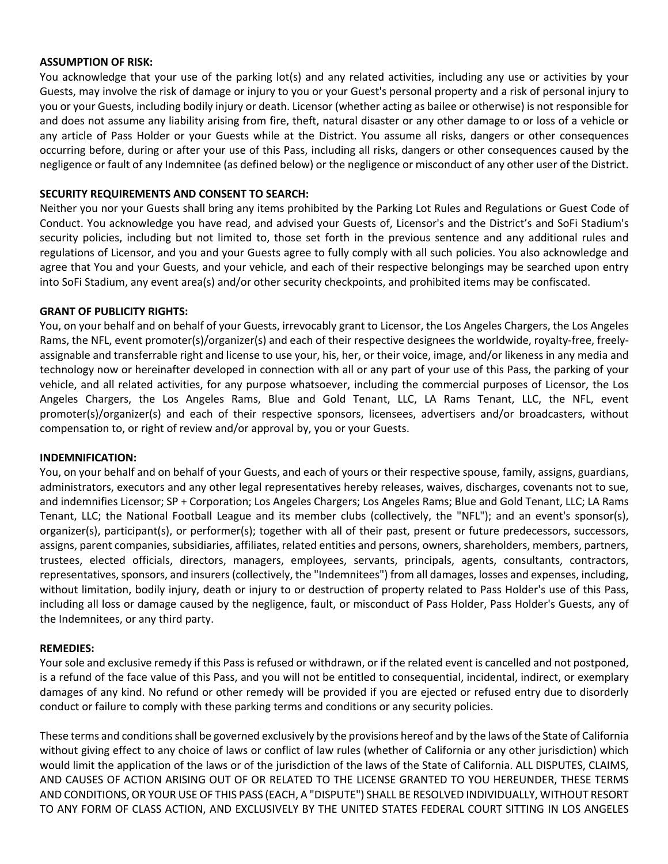### **ASSUMPTION OF RISK:**

You acknowledge that your use of the parking lot(s) and any related activities, including any use or activities by your Guests, may involve the risk of damage or injury to you or your Guest's personal property and a risk of personal injury to you or your Guests, including bodily injury or death. Licensor (whether acting as bailee or otherwise) is not responsible for and does not assume any liability arising from fire, theft, natural disaster or any other damage to or loss of a vehicle or any article of Pass Holder or your Guests while at the District. You assume all risks, dangers or other consequences occurring before, during or after your use of this Pass, including all risks, dangers or other consequences caused by the negligence or fault of any Indemnitee (as defined below) or the negligence or misconduct of any other user of the District.

## **SECURITY REQUIREMENTS AND CONSENT TO SEARCH:**

Neither you nor your Guests shall bring any items prohibited by the Parking Lot Rules and Regulations or Guest Code of Conduct. You acknowledge you have read, and advised your Guests of, Licensor's and the District's and SoFi Stadium's security policies, including but not limited to, those set forth in the previous sentence and any additional rules and regulations of Licensor, and you and your Guests agree to fully comply with all such policies. You also acknowledge and agree that You and your Guests, and your vehicle, and each of their respective belongings may be searched upon entry into SoFi Stadium, any event area(s) and/or other security checkpoints, and prohibited items may be confiscated.

## **GRANT OF PUBLICITY RIGHTS:**

You, on your behalf and on behalf of your Guests, irrevocably grant to Licensor, the Los Angeles Chargers, the Los Angeles Rams, the NFL, event promoter(s)/organizer(s) and each of their respective designees the worldwide, royalty-free, freelyassignable and transferrable right and license to use your, his, her, or their voice, image, and/or likeness in any media and technology now or hereinafter developed in connection with all or any part of your use of this Pass, the parking of your vehicle, and all related activities, for any purpose whatsoever, including the commercial purposes of Licensor, the Los Angeles Chargers, the Los Angeles Rams, Blue and Gold Tenant, LLC, LA Rams Tenant, LLC, the NFL, event promoter(s)/organizer(s) and each of their respective sponsors, licensees, advertisers and/or broadcasters, without compensation to, or right of review and/or approval by, you or your Guests.

#### **INDEMNIFICATION:**

You, on your behalf and on behalf of your Guests, and each of yours or their respective spouse, family, assigns, guardians, administrators, executors and any other legal representatives hereby releases, waives, discharges, covenants not to sue, and indemnifies Licensor; SP + Corporation; Los Angeles Chargers; Los Angeles Rams; Blue and Gold Tenant, LLC; LA Rams Tenant, LLC; the National Football League and its member clubs (collectively, the "NFL"); and an event's sponsor(s), organizer(s), participant(s), or performer(s); together with all of their past, present or future predecessors, successors, assigns, parent companies, subsidiaries, affiliates, related entities and persons, owners, shareholders, members, partners, trustees, elected officials, directors, managers, employees, servants, principals, agents, consultants, contractors, representatives, sponsors, and insurers (collectively, the "Indemnitees") from all damages, losses and expenses, including, without limitation, bodily injury, death or injury to or destruction of property related to Pass Holder's use of this Pass, including all loss or damage caused by the negligence, fault, or misconduct of Pass Holder, Pass Holder's Guests, any of the Indemnitees, or any third party.

## **REMEDIES:**

Your sole and exclusive remedy if this Pass is refused or withdrawn, or if the related event is cancelled and not postponed, is a refund of the face value of this Pass, and you will not be entitled to consequential, incidental, indirect, or exemplary damages of any kind. No refund or other remedy will be provided if you are ejected or refused entry due to disorderly conduct or failure to comply with these parking terms and conditions or any security policies.

These terms and conditions shall be governed exclusively by the provisions hereof and by the laws of the State of California without giving effect to any choice of laws or conflict of law rules (whether of California or any other jurisdiction) which would limit the application of the laws or of the jurisdiction of the laws of the State of California. ALL DISPUTES, CLAIMS, AND CAUSES OF ACTION ARISING OUT OF OR RELATED TO THE LICENSE GRANTED TO YOU HEREUNDER, THESE TERMS AND CONDITIONS, OR YOUR USE OF THIS PASS (EACH, A "DISPUTE") SHALL BE RESOLVED INDIVIDUALLY, WITHOUT RESORT TO ANY FORM OF CLASS ACTION, AND EXCLUSIVELY BY THE UNITED STATES FEDERAL COURT SITTING IN LOS ANGELES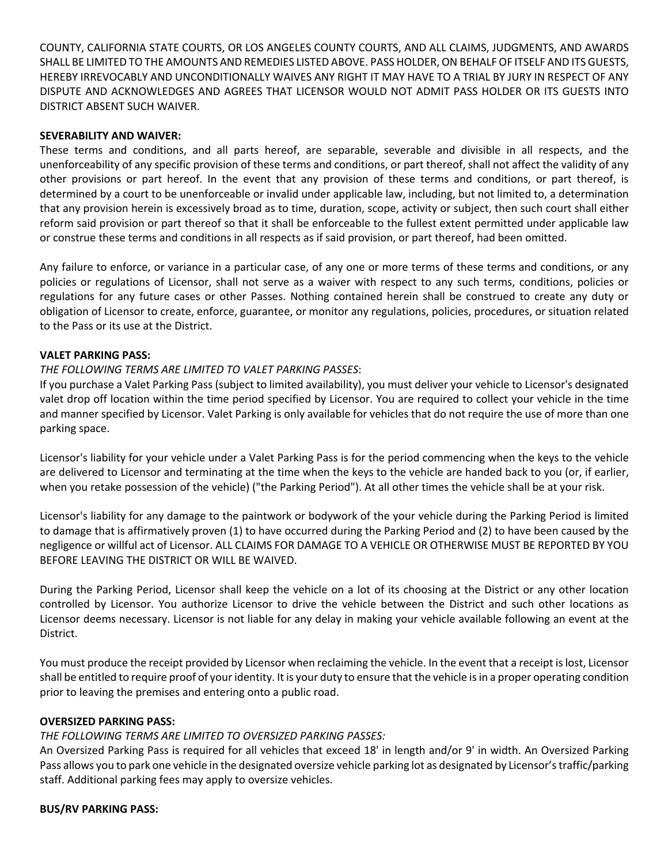COUNTY, CALIFORNIA STATE COURTS, OR LOS ANGELES COUNTY COURTS, AND ALL CLAIMS, JUDGMENTS, AND AWARDS SHALL BE LIMITED TO THE AMOUNTS AND REMEDIES LISTED ABOVE. PASS HOLDER, ON BEHALF OF ITSELF AND ITS GUESTS, HEREBY IRREVOCABLY AND UNCONDITIONALLY WAIVES ANY RIGHT IT MAY HAVE TO A TRIAL BY JURY IN RESPECT OF ANY DISPUTE AND ACKNOWLEDGES AND AGREES THAT LICENSOR WOULD NOT ADMIT PASS HOLDER OR ITS GUESTS INTO DISTRICT ABSENT SUCH WAIVER.

## **SEVERABILITY AND WAIVER:**

These terms and conditions, and all parts hereof, are separable, severable and divisible in all respects, and the unenforceability of any specific provision of these terms and conditions, or part thereof, shall not affect the validity of any other provisions or part hereof. In the event that any provision of these terms and conditions, or part thereof, is determined by a court to be unenforceable or invalid under applicable law, including, but not limited to, a determination that any provision herein is excessively broad as to time, duration, scope, activity or subject, then such court shall either reform said provision or part thereof so that it shall be enforceable to the fullest extent permitted under applicable law or construe these terms and conditions in all respects as if said provision, or part thereof, had been omitted.

Any failure to enforce, or variance in a particular case, of any one or more terms of these terms and conditions, or any policies or regulations of Licensor, shall not serve as a waiver with respect to any such terms, conditions, policies or regulations for any future cases or other Passes. Nothing contained herein shall be construed to create any duty or obligation of Licensor to create, enforce, guarantee, or monitor any regulations, policies, procedures, or situation related to the Pass or its use at the District.

#### **VALET PARKING PASS:**

### *THE FOLLOWING TERMS ARE LIMITED TO VALET PARKING PASSES*:

If you purchase a Valet Parking Pass (subject to limited availability), you must deliver your vehicle to Licensor's designated valet drop off location within the time period specified by Licensor. You are required to collect your vehicle in the time and manner specified by Licensor. Valet Parking is only available for vehicles that do not require the use of more than one parking space.

Licensor's liability for your vehicle under a Valet Parking Pass is for the period commencing when the keys to the vehicle are delivered to Licensor and terminating at the time when the keys to the vehicle are handed back to you (or, if earlier, when you retake possession of the vehicle) ("the Parking Period"). At all other times the vehicle shall be at your risk.

Licensor's liability for any damage to the paintwork or bodywork of the your vehicle during the Parking Period is limited to damage that is affirmatively proven (1) to have occurred during the Parking Period and (2) to have been caused by the negligence or willful act of Licensor. ALL CLAIMS FOR DAMAGE TO A VEHICLE OR OTHERWISE MUST BE REPORTED BY YOU BEFORE LEAVING THE DISTRICT OR WILL BE WAIVED.

During the Parking Period, Licensor shall keep the vehicle on a lot of its choosing at the District or any other location controlled by Licensor. You authorize Licensor to drive the vehicle between the District and such other locations as Licensor deems necessary. Licensor is not liable for any delay in making your vehicle available following an event at the District.

You must produce the receipt provided by Licensor when reclaiming the vehicle. In the event that a receipt is lost, Licensor shall be entitled to require proof of youridentity. It is your duty to ensure that the vehicle is in a proper operating condition prior to leaving the premises and entering onto a public road.

### **OVERSIZED PARKING PASS:**

## *THE FOLLOWING TERMS ARE LIMITED TO OVERSIZED PARKING PASSES:*

An Oversized Parking Pass is required for all vehicles that exceed 18' in length and/or 9' in width. An Oversized Parking Pass allows you to park one vehicle in the designated oversize vehicle parking lot as designated by Licensor's traffic/parking staff. Additional parking fees may apply to oversize vehicles.

#### **BUS/RV PARKING PASS:**